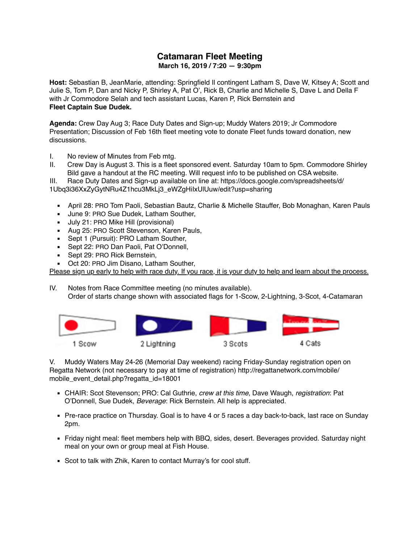## **Catamaran Fleet Meeting March 16, 2019 / 7:20 — 9:30pm**

**Host:** Sebastian B, JeanMarie, attending: Springfield Il contingent Latham S, Dave W, Kitsey A; Scott and Julie S, Tom P, Dan and Nicky P, Shirley A, Pat O', Rick B, Charlie and Michelle S, Dave L and Della F with Jr Commodore Selah and tech assistant Lucas, Karen P, Rick Bernstein and **Fleet Captain Sue Dudek.**

**Agenda:** Crew Day Aug 3; Race Duty Dates and Sign-up; Muddy Waters 2019; Jr Commodore Presentation; Discussion of Feb 16th fleet meeting vote to donate Fleet funds toward donation, new discussions.

I. No review of Minutes from Feb mtg.

- II. Crew Day is August 3. This is a fleet sponsored event. Saturday 10am to 5pm. Commodore Shirley Bild gave a handout at the RC meeting. Will request info to be published on CSA website.
- III. Race Duty Dates and Sign-up available on line at: [https://docs.google.com/spreadsheets/d/](https://docs.google.com/spreadsheets/d/1Ubq3i36XxZyGytNRu4Z1hcu3MkLj3_eWZgHiIxUlUuw/edit?usp=sharing) [1Ubq3i36XxZyGytNRu4Z1hcu3MkLj3\\_eWZgHiIxUlUuw/edit?usp=sharing](https://docs.google.com/spreadsheets/d/1Ubq3i36XxZyGytNRu4Z1hcu3MkLj3_eWZgHiIxUlUuw/edit?usp=sharing)
	- April 28: PRO Tom Paoli, Sebastian Bautz, Charlie & Michelle Stauffer, Bob Monaghan, Karen Pauls
	- **■** June 9: PRO Sue Dudek, Latham Souther,
	- **■** July 21: PRO Mike Hill (provisional)
	- Aug 25: PRO Scott Stevenson, Karen Pauls,
	- **Sept 1 (Pursuit): PRO Latham Souther,**
	- **Sept 22: PRO Dan Paoli, Pat O'Donnell,**
	- Sept 29: PRO Rick Bernstein,
	- Oct 20: PRO Jim Disano, Latham Souther,

Please sign up early to help with race duty. If you race, it is your duty to help and learn about the process.

IV. Notes from Race Committee meeting (no minutes available). Order of starts change shown with associated flags for 1-Scow, 2-Lightning, 3-Scot, 4-Catamaran



V. Muddy Waters May 24-26 (Memorial Day weekend) racing Friday-Sunday registration open on Regatta Network (not necessary to pay at time of registration) [http://regattanetwork.com/mobile/](http://regattanetwork.com/mobile/mobile_event_detail.php?regatta_id=18001) [mobile\\_event\\_detail.php?regatta\\_id=18001](http://regattanetwork.com/mobile/mobile_event_detail.php?regatta_id=18001)

- CHAIR: Scot Stevenson; PRO: Cal Guthrie, *crew at this time*, Dave Waugh, *registration*: Pat O'Donnell, Sue Dudek, *Beverage*: Rick Bernstein. All help is appreciated.
- **Pre-race practice on Thursday. Goal is to have 4 or 5 races a day back-to-back, last race on Sunday** 2pm.
- Friday night meal: fleet members help with BBQ, sides, desert. Beverages provided. Saturday night meal on your own or group meal at Fish House.
- Scot to talk with Zhik, Karen to contact Murray's for cool stuff.